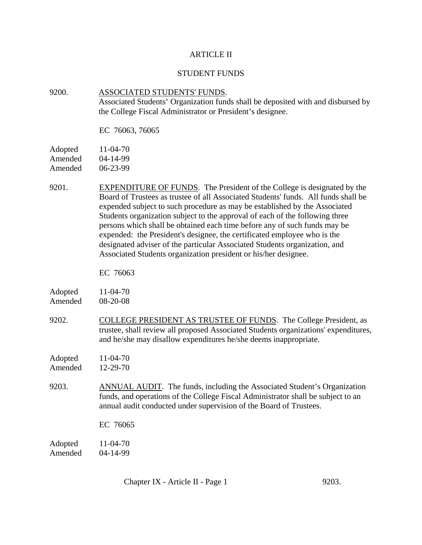### ARTICLE II

### STUDENT FUNDS

## 9200. ASSOCIATED STUDENTS' FUNDS. Associated Students' Organization funds shall be deposited with and disbursed by the College Fiscal Administrator or President's designee.

EC 76063, 76065

| Adopted | $11 - 04 - 70$ |
|---------|----------------|
| Amended | $04 - 14 - 99$ |
| Amended | 06-23-99       |

9201. EXPENDITURE OF FUNDS. The President of the College is designated by the Board of Trustees as trustee of all Associated Students' funds. All funds shall be expended subject to such procedure as may be established by the Associated Students organization subject to the approval of each of the following three persons which shall be obtained each time before any of such funds may be expended: the President's designee, the certificated employee who is the designated adviser of the particular Associated Students organization, and Associated Students organization president or his/her designee.

EC 76063

| Adopted | 11-04-70   |
|---------|------------|
| Amended | $08-20-08$ |

9202. COLLEGE PRESIDENT AS TRUSTEE OF FUNDS. The College President, as trustee, shall review all proposed Associated Students organizations' expenditures, and he/she may disallow expenditures he/she deems inappropriate.

Adopted 11-04-70 Amended 12-29-70

9203. ANNUAL AUDIT. The funds, including the Associated Student's Organization funds, and operations of the College Fiscal Administrator shall be subject to an annual audit conducted under supervision of the Board of Trustees.

EC 76065

Adopted 11-04-70 Amended 04-14-99